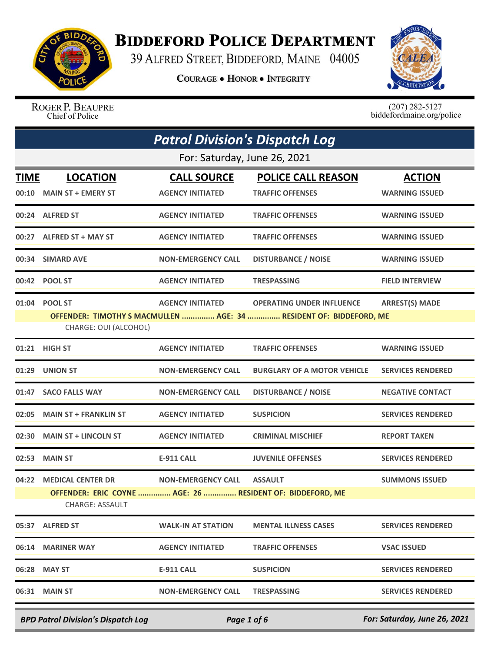

## **BIDDEFORD POLICE DEPARTMENT**

39 ALFRED STREET, BIDDEFORD, MAINE 04005

**COURAGE . HONOR . INTEGRITY** 



ROGER P. BEAUPRE Chief of Police

 $(207)$  282-5127<br>biddefordmaine.org/police

|             |                                                                              | <b>Patrol Division's Dispatch Log</b> |                                                                    |                          |
|-------------|------------------------------------------------------------------------------|---------------------------------------|--------------------------------------------------------------------|--------------------------|
|             |                                                                              | For: Saturday, June 26, 2021          |                                                                    |                          |
| <b>TIME</b> | <b>LOCATION</b>                                                              | <b>CALL SOURCE</b>                    | <b>POLICE CALL REASON</b>                                          | <b>ACTION</b>            |
|             | 00:10 MAIN ST + EMERY ST                                                     | <b>AGENCY INITIATED</b>               | <b>TRAFFIC OFFENSES</b>                                            | <b>WARNING ISSUED</b>    |
|             | 00:24 ALFRED ST                                                              | <b>AGENCY INITIATED</b>               | <b>TRAFFIC OFFENSES</b>                                            | <b>WARNING ISSUED</b>    |
|             | 00:27 ALFRED ST + MAY ST                                                     | <b>AGENCY INITIATED</b>               | <b>TRAFFIC OFFENSES</b>                                            | <b>WARNING ISSUED</b>    |
|             | 00:34 SIMARD AVE                                                             | <b>NON-EMERGENCY CALL</b>             | <b>DISTURBANCE / NOISE</b>                                         | <b>WARNING ISSUED</b>    |
|             | 00:42 POOL ST                                                                | <b>AGENCY INITIATED</b>               | <b>TRESPASSING</b>                                                 | <b>FIELD INTERVIEW</b>   |
|             | 01:04 POOL ST                                                                | <b>AGENCY INITIATED</b>               | <b>OPERATING UNDER INFLUENCE</b>                                   | <b>ARREST(S) MADE</b>    |
|             | CHARGE: OUI (ALCOHOL)                                                        |                                       | OFFENDER: TIMOTHY S MACMULLEN  AGE: 34  RESIDENT OF: BIDDEFORD, ME |                          |
|             | 01:21 HIGH ST                                                                | <b>AGENCY INITIATED</b>               | <b>TRAFFIC OFFENSES</b>                                            | <b>WARNING ISSUED</b>    |
|             | 01:29 UNION ST                                                               | <b>NON-EMERGENCY CALL</b>             | <b>BURGLARY OF A MOTOR VEHICLE</b>                                 | <b>SERVICES RENDERED</b> |
|             | 01:47 SACO FALLS WAY                                                         | <b>NON-EMERGENCY CALL</b>             | <b>DISTURBANCE / NOISE</b>                                         | <b>NEGATIVE CONTACT</b>  |
|             | 02:05 MAIN ST + FRANKLIN ST                                                  | <b>AGENCY INITIATED</b>               | <b>SUSPICION</b>                                                   | <b>SERVICES RENDERED</b> |
|             | 02:30 MAIN ST + LINCOLN ST                                                   | <b>AGENCY INITIATED</b>               | <b>CRIMINAL MISCHIEF</b>                                           | <b>REPORT TAKEN</b>      |
|             | 02:53 MAIN ST                                                                | <b>E-911 CALL</b>                     | <b>JUVENILE OFFENSES</b>                                           | <b>SERVICES RENDERED</b> |
|             | 04:22 MEDICAL CENTER DR                                                      | <b>NON-EMERGENCY CALL</b>             | <b>ASSAULT</b>                                                     | <b>SUMMONS ISSUED</b>    |
|             | OFFENDER: ERIC COYNE  AGE: 26  RESIDENT OF: BIDDEFORD, ME<br>CHARGE: ASSAULT |                                       |                                                                    |                          |
|             | 05:37 ALFRED ST                                                              | <b>WALK-IN AT STATION</b>             | <b>MENTAL ILLNESS CASES</b>                                        | <b>SERVICES RENDERED</b> |
|             | 06:14 MARINER WAY                                                            | <b>AGENCY INITIATED</b>               | <b>TRAFFIC OFFENSES</b>                                            | <b>VSAC ISSUED</b>       |
|             | 06:28 MAY ST                                                                 | <b>E-911 CALL</b>                     | <b>SUSPICION</b>                                                   | <b>SERVICES RENDERED</b> |
|             | 06:31 MAIN ST                                                                | <b>NON-EMERGENCY CALL</b>             | <b>TRESPASSING</b>                                                 | <b>SERVICES RENDERED</b> |
|             |                                                                              |                                       |                                                                    |                          |

*BPD Patrol Division's Dispatch Log Page 1 of 6 For: Saturday, June 26, 2021*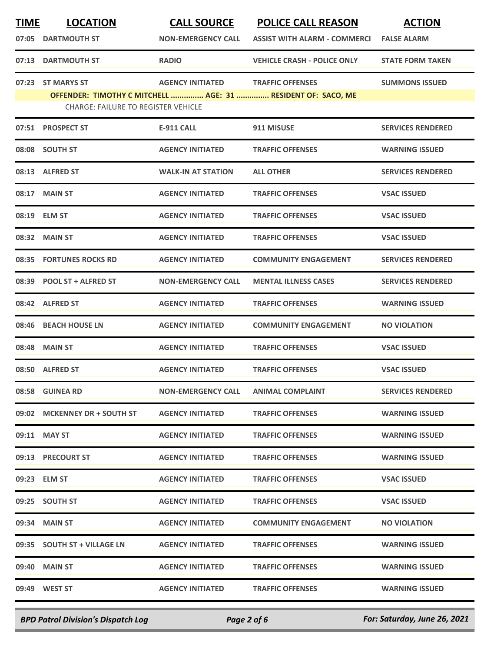| <b>TIME</b> | <b>LOCATION</b>                            | <b>CALL SOURCE</b>        | <b>POLICE CALL REASON</b>                                    | <b>ACTION</b>            |
|-------------|--------------------------------------------|---------------------------|--------------------------------------------------------------|--------------------------|
| 07:05       | <b>DARTMOUTH ST</b>                        | <b>NON-EMERGENCY CALL</b> | <b>ASSIST WITH ALARM - COMMERCI</b>                          | <b>FALSE ALARM</b>       |
| 07:13       | <b>DARTMOUTH ST</b>                        | <b>RADIO</b>              | <b>VEHICLE CRASH - POLICE ONLY</b>                           | <b>STATE FORM TAKEN</b>  |
|             | 07:23 ST MARYS ST                          | <b>AGENCY INITIATED</b>   | <b>TRAFFIC OFFENSES</b>                                      | <b>SUMMONS ISSUED</b>    |
|             |                                            |                           | OFFENDER: TIMOTHY C MITCHELL  AGE: 31  RESIDENT OF: SACO, ME |                          |
|             | <b>CHARGE: FAILURE TO REGISTER VEHICLE</b> |                           |                                                              |                          |
|             | 07:51 PROSPECT ST                          | <b>E-911 CALL</b>         | 911 MISUSE                                                   | <b>SERVICES RENDERED</b> |
|             | 08:08 SOUTH ST                             | <b>AGENCY INITIATED</b>   | <b>TRAFFIC OFFENSES</b>                                      | <b>WARNING ISSUED</b>    |
|             | 08:13 ALFRED ST                            | <b>WALK-IN AT STATION</b> | <b>ALL OTHER</b>                                             | <b>SERVICES RENDERED</b> |
| 08:17       | <b>MAIN ST</b>                             | <b>AGENCY INITIATED</b>   | <b>TRAFFIC OFFENSES</b>                                      | <b>VSAC ISSUED</b>       |
|             | 08:19 ELM ST                               | <b>AGENCY INITIATED</b>   | <b>TRAFFIC OFFENSES</b>                                      | <b>VSAC ISSUED</b>       |
| 08:32       | <b>MAIN ST</b>                             | <b>AGENCY INITIATED</b>   | <b>TRAFFIC OFFENSES</b>                                      | <b>VSAC ISSUED</b>       |
| 08:35       | <b>FORTUNES ROCKS RD</b>                   | <b>AGENCY INITIATED</b>   | <b>COMMUNITY ENGAGEMENT</b>                                  | <b>SERVICES RENDERED</b> |
| 08:39       | <b>POOL ST + ALFRED ST</b>                 | <b>NON-EMERGENCY CALL</b> | <b>MENTAL ILLNESS CASES</b>                                  | <b>SERVICES RENDERED</b> |
| 08:42       | <b>ALFRED ST</b>                           | <b>AGENCY INITIATED</b>   | <b>TRAFFIC OFFENSES</b>                                      | <b>WARNING ISSUED</b>    |
| 08:46       | <b>BEACH HOUSE LN</b>                      | <b>AGENCY INITIATED</b>   | <b>COMMUNITY ENGAGEMENT</b>                                  | <b>NO VIOLATION</b>      |
| 08:48       | <b>MAIN ST</b>                             | <b>AGENCY INITIATED</b>   | <b>TRAFFIC OFFENSES</b>                                      | <b>VSAC ISSUED</b>       |
|             | 08:50 ALFRED ST                            | <b>AGENCY INITIATED</b>   | <b>TRAFFIC OFFENSES</b>                                      | <b>VSAC ISSUED</b>       |
|             | 08:58 GUINEA RD                            | <b>NON-EMERGENCY CALL</b> | <b>ANIMAL COMPLAINT</b>                                      | <b>SERVICES RENDERED</b> |
|             | 09:02 MCKENNEY DR + SOUTH ST               | <b>AGENCY INITIATED</b>   | <b>TRAFFIC OFFENSES</b>                                      | <b>WARNING ISSUED</b>    |
|             | 09:11 MAY ST                               | <b>AGENCY INITIATED</b>   | <b>TRAFFIC OFFENSES</b>                                      | <b>WARNING ISSUED</b>    |
|             | 09:13 PRECOURT ST                          | <b>AGENCY INITIATED</b>   | <b>TRAFFIC OFFENSES</b>                                      | <b>WARNING ISSUED</b>    |
|             | 09:23 ELM ST                               | <b>AGENCY INITIATED</b>   | <b>TRAFFIC OFFENSES</b>                                      | <b>VSAC ISSUED</b>       |
|             | 09:25 SOUTH ST                             | <b>AGENCY INITIATED</b>   | <b>TRAFFIC OFFENSES</b>                                      | <b>VSAC ISSUED</b>       |
|             | 09:34 MAIN ST                              | <b>AGENCY INITIATED</b>   | <b>COMMUNITY ENGAGEMENT</b>                                  | <b>NO VIOLATION</b>      |
|             | 09:35 SOUTH ST + VILLAGE LN                | <b>AGENCY INITIATED</b>   | <b>TRAFFIC OFFENSES</b>                                      | <b>WARNING ISSUED</b>    |
|             | 09:40 MAIN ST                              | <b>AGENCY INITIATED</b>   | <b>TRAFFIC OFFENSES</b>                                      | <b>WARNING ISSUED</b>    |
|             | 09:49 WEST ST                              | <b>AGENCY INITIATED</b>   | <b>TRAFFIC OFFENSES</b>                                      | <b>WARNING ISSUED</b>    |
|             |                                            |                           |                                                              |                          |

*BPD Patrol Division's Dispatch Log Page 2 of 6 For: Saturday, June 26, 2021*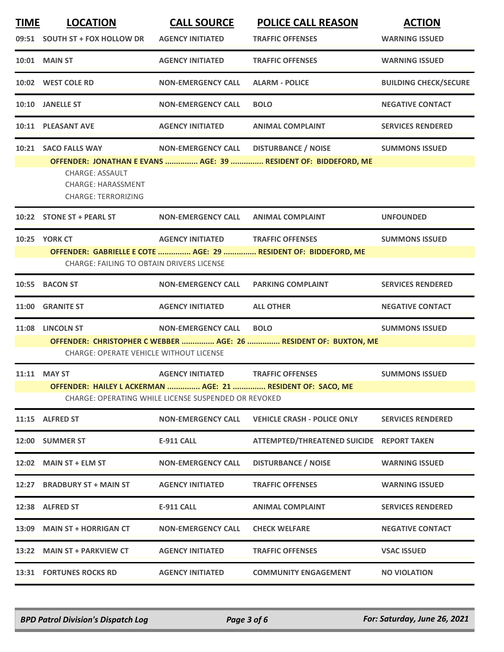| <b>LOCATION</b>                                                                   | <b>CALL SOURCE</b>        | <b>POLICE CALL REASON</b>                                                            | <b>ACTION</b>                                                                                                                                                                                                                                                                                                                 |
|-----------------------------------------------------------------------------------|---------------------------|--------------------------------------------------------------------------------------|-------------------------------------------------------------------------------------------------------------------------------------------------------------------------------------------------------------------------------------------------------------------------------------------------------------------------------|
| 09:51 SOUTH ST + FOX HOLLOW DR                                                    | <b>AGENCY INITIATED</b>   | <b>TRAFFIC OFFENSES</b>                                                              | <b>WARNING ISSUED</b>                                                                                                                                                                                                                                                                                                         |
| <b>10:01 MAIN ST</b>                                                              | <b>AGENCY INITIATED</b>   | <b>TRAFFIC OFFENSES</b>                                                              | <b>WARNING ISSUED</b>                                                                                                                                                                                                                                                                                                         |
| 10:02 WEST COLE RD                                                                | <b>NON-EMERGENCY CALL</b> | <b>ALARM - POLICE</b>                                                                | <b>BUILDING CHECK/SECURE</b>                                                                                                                                                                                                                                                                                                  |
| <b>JANELLE ST</b>                                                                 | <b>NON-EMERGENCY CALL</b> | <b>BOLO</b>                                                                          | <b>NEGATIVE CONTACT</b>                                                                                                                                                                                                                                                                                                       |
| 10:11 PLEASANT AVE                                                                | <b>AGENCY INITIATED</b>   | <b>ANIMAL COMPLAINT</b>                                                              | <b>SERVICES RENDERED</b>                                                                                                                                                                                                                                                                                                      |
| 10:21 SACO FALLS WAY                                                              | <b>NON-EMERGENCY CALL</b> | <b>DISTURBANCE / NOISE</b>                                                           | <b>SUMMONS ISSUED</b>                                                                                                                                                                                                                                                                                                         |
| <b>CHARGE: ASSAULT</b><br><b>CHARGE: HARASSMENT</b><br><b>CHARGE: TERRORIZING</b> |                           |                                                                                      |                                                                                                                                                                                                                                                                                                                               |
| 10:22 STONE ST + PEARL ST                                                         | <b>NON-EMERGENCY CALL</b> | <b>ANIMAL COMPLAINT</b>                                                              | <b>UNFOUNDED</b>                                                                                                                                                                                                                                                                                                              |
| <b>10:25 YORK CT</b>                                                              | <b>AGENCY INITIATED</b>   | <b>TRAFFIC OFFENSES</b>                                                              | <b>SUMMONS ISSUED</b>                                                                                                                                                                                                                                                                                                         |
|                                                                                   |                           |                                                                                      |                                                                                                                                                                                                                                                                                                                               |
|                                                                                   |                           |                                                                                      |                                                                                                                                                                                                                                                                                                                               |
| <b>BACON ST</b>                                                                   | <b>NON-EMERGENCY CALL</b> | <b>PARKING COMPLAINT</b>                                                             | <b>SERVICES RENDERED</b>                                                                                                                                                                                                                                                                                                      |
| <b>GRANITE ST</b>                                                                 | <b>AGENCY INITIATED</b>   | <b>ALL OTHER</b>                                                                     | <b>NEGATIVE CONTACT</b>                                                                                                                                                                                                                                                                                                       |
| <b>LINCOLN ST</b>                                                                 | <b>NON-EMERGENCY CALL</b> | <b>BOLO</b>                                                                          | <b>SUMMONS ISSUED</b>                                                                                                                                                                                                                                                                                                         |
|                                                                                   |                           |                                                                                      |                                                                                                                                                                                                                                                                                                                               |
| 11:11 MAY ST                                                                      | <b>AGENCY INITIATED</b>   | <b>TRAFFIC OFFENSES</b>                                                              | <b>SUMMONS ISSUED</b>                                                                                                                                                                                                                                                                                                         |
|                                                                                   |                           |                                                                                      |                                                                                                                                                                                                                                                                                                                               |
|                                                                                   |                           |                                                                                      |                                                                                                                                                                                                                                                                                                                               |
| 11:15 ALFRED ST                                                                   | <b>NON-EMERGENCY CALL</b> | <b>VEHICLE CRASH - POLICE ONLY</b>                                                   | <b>SERVICES RENDERED</b>                                                                                                                                                                                                                                                                                                      |
| 12:00 SUMMER ST                                                                   | <b>E-911 CALL</b>         | ATTEMPTED/THREATENED SUICIDE REPORT TAKEN                                            |                                                                                                                                                                                                                                                                                                                               |
| 12:02 MAIN ST + ELM ST                                                            | <b>NON-EMERGENCY CALL</b> | <b>DISTURBANCE / NOISE</b>                                                           | <b>WARNING ISSUED</b>                                                                                                                                                                                                                                                                                                         |
| <b>BRADBURY ST + MAIN ST</b>                                                      | <b>AGENCY INITIATED</b>   | <b>TRAFFIC OFFENSES</b>                                                              | <b>WARNING ISSUED</b>                                                                                                                                                                                                                                                                                                         |
| 12:38 ALFRED ST                                                                   | <b>E-911 CALL</b>         | <b>ANIMAL COMPLAINT</b>                                                              | <b>SERVICES RENDERED</b>                                                                                                                                                                                                                                                                                                      |
| 13:09 MAIN ST + HORRIGAN CT                                                       | <b>NON-EMERGENCY CALL</b> | <b>CHECK WELFARE</b>                                                                 | <b>NEGATIVE CONTACT</b>                                                                                                                                                                                                                                                                                                       |
| 13:22 MAIN ST + PARKVIEW CT                                                       | <b>AGENCY INITIATED</b>   | <b>TRAFFIC OFFENSES</b>                                                              | <b>VSAC ISSUED</b>                                                                                                                                                                                                                                                                                                            |
| 13:31 FORTUNES ROCKS RD                                                           | <b>AGENCY INITIATED</b>   | <b>COMMUNITY ENGAGEMENT</b>                                                          | <b>NO VIOLATION</b>                                                                                                                                                                                                                                                                                                           |
|                                                                                   |                           | CHARGE: FAILING TO OBTAIN DRIVERS LICENSE<br>CHARGE: OPERATE VEHICLE WITHOUT LICENSE | OFFENDER: JONATHAN E EVANS  AGE: 39  RESIDENT OF: BIDDEFORD, ME<br>OFFENDER: GABRIELLE E COTE  AGE: 29  RESIDENT OF: BIDDEFORD, ME<br>OFFENDER: CHRISTOPHER C WEBBER  AGE: 26  RESIDENT OF: BUXTON, ME<br>OFFENDER: HAILEY L ACKERMAN  AGE: 21  RESIDENT OF: SACO, ME<br>CHARGE: OPERATING WHILE LICENSE SUSPENDED OR REVOKED |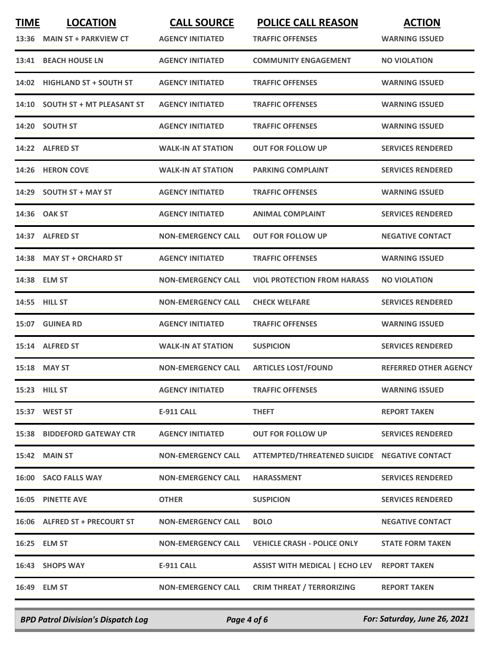| <b>TIME</b> | <b>LOCATION</b><br>13:36 MAIN ST + PARKVIEW CT | <b>CALL SOURCE</b><br><b>AGENCY INITIATED</b> | <b>POLICE CALL REASON</b><br><b>TRAFFIC OFFENSES</b> | <b>ACTION</b><br><b>WARNING ISSUED</b> |
|-------------|------------------------------------------------|-----------------------------------------------|------------------------------------------------------|----------------------------------------|
| 13:41       | <b>BEACH HOUSE LN</b>                          | <b>AGENCY INITIATED</b>                       | <b>COMMUNITY ENGAGEMENT</b>                          | <b>NO VIOLATION</b>                    |
| 14:02       | <b>HIGHLAND ST + SOUTH ST</b>                  | <b>AGENCY INITIATED</b>                       | <b>TRAFFIC OFFENSES</b>                              | <b>WARNING ISSUED</b>                  |
| 14:10       | <b>SOUTH ST + MT PLEASANT ST</b>               | <b>AGENCY INITIATED</b>                       | <b>TRAFFIC OFFENSES</b>                              | <b>WARNING ISSUED</b>                  |
|             | 14:20 SOUTH ST                                 | <b>AGENCY INITIATED</b>                       | <b>TRAFFIC OFFENSES</b>                              | <b>WARNING ISSUED</b>                  |
| 14:22       | <b>ALFRED ST</b>                               | <b>WALK-IN AT STATION</b>                     | OUT FOR FOLLOW UP                                    | <b>SERVICES RENDERED</b>               |
|             | 14:26 HERON COVE                               | <b>WALK-IN AT STATION</b>                     | <b>PARKING COMPLAINT</b>                             | <b>SERVICES RENDERED</b>               |
| 14:29       | <b>SOUTH ST + MAY ST</b>                       | <b>AGENCY INITIATED</b>                       | <b>TRAFFIC OFFENSES</b>                              | <b>WARNING ISSUED</b>                  |
|             | 14:36 OAK ST                                   | <b>AGENCY INITIATED</b>                       | <b>ANIMAL COMPLAINT</b>                              | <b>SERVICES RENDERED</b>               |
|             | 14:37 ALFRED ST                                | <b>NON-EMERGENCY CALL</b>                     | <b>OUT FOR FOLLOW UP</b>                             | <b>NEGATIVE CONTACT</b>                |
| 14:38       | <b>MAY ST + ORCHARD ST</b>                     | <b>AGENCY INITIATED</b>                       | <b>TRAFFIC OFFENSES</b>                              | <b>WARNING ISSUED</b>                  |
|             | 14:38 ELM ST                                   | <b>NON-EMERGENCY CALL</b>                     | <b>VIOL PROTECTION FROM HARASS</b>                   | <b>NO VIOLATION</b>                    |
| 14:55       | <b>HILL ST</b>                                 | <b>NON-EMERGENCY CALL</b>                     | <b>CHECK WELFARE</b>                                 | <b>SERVICES RENDERED</b>               |
|             | 15:07 GUINEA RD                                | <b>AGENCY INITIATED</b>                       | <b>TRAFFIC OFFENSES</b>                              | <b>WARNING ISSUED</b>                  |
|             | 15:14 ALFRED ST                                | <b>WALK-IN AT STATION</b>                     | <b>SUSPICION</b>                                     | <b>SERVICES RENDERED</b>               |
|             | 15:18 MAY ST                                   | <b>NON-EMERGENCY CALL</b>                     | <b>ARTICLES LOST/FOUND</b>                           | <b>REFERRED OTHER AGENCY</b>           |
|             | 15:23 HILL ST                                  | <b>AGENCY INITIATED</b>                       | <b>TRAFFIC OFFENSES</b>                              | <b>WARNING ISSUED</b>                  |
|             | 15:37 WEST ST                                  | E-911 CALL                                    | <b>THEFT</b>                                         | <b>REPORT TAKEN</b>                    |
|             | <b>15:38 BIDDEFORD GATEWAY CTR</b>             | <b>AGENCY INITIATED</b>                       | <b>OUT FOR FOLLOW UP</b>                             | <b>SERVICES RENDERED</b>               |
|             | <b>15:42 MAIN ST</b>                           | <b>NON-EMERGENCY CALL</b>                     | ATTEMPTED/THREATENED SUICIDE NEGATIVE CONTACT        |                                        |
|             | 16:00 SACO FALLS WAY                           | <b>NON-EMERGENCY CALL</b>                     | <b>HARASSMENT</b>                                    | <b>SERVICES RENDERED</b>               |
|             | <b>16:05 PINETTE AVE</b>                       | <b>OTHER</b>                                  | <b>SUSPICION</b>                                     | <b>SERVICES RENDERED</b>               |
|             | 16:06 ALFRED ST + PRECOURT ST                  | <b>NON-EMERGENCY CALL</b>                     | <b>BOLO</b>                                          | <b>NEGATIVE CONTACT</b>                |
|             | 16:25 ELM ST                                   | <b>NON-EMERGENCY CALL</b>                     | <b>VEHICLE CRASH - POLICE ONLY</b>                   | <b>STATE FORM TAKEN</b>                |
|             | 16:43 SHOPS WAY                                | E-911 CALL                                    | ASSIST WITH MEDICAL   ECHO LEV REPORT TAKEN          |                                        |
|             | 16:49 ELM ST                                   | <b>NON-EMERGENCY CALL</b>                     | <b>CRIM THREAT / TERRORIZING</b>                     | <b>REPORT TAKEN</b>                    |
|             |                                                |                                               |                                                      |                                        |

*BPD Patrol Division's Dispatch Log Page 4 of 6 For: Saturday, June 26, 2021*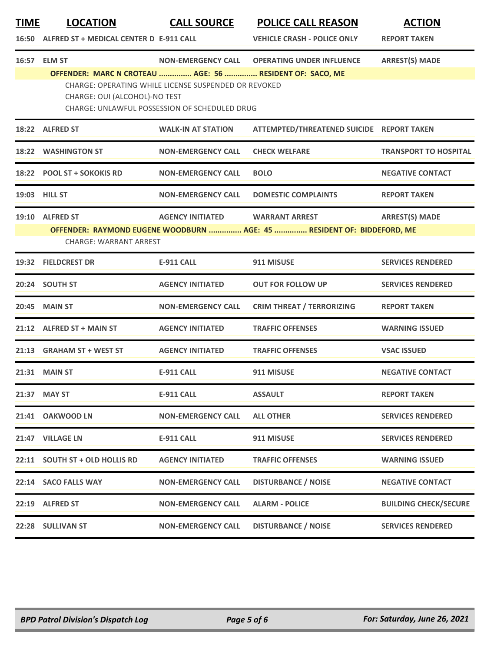| <b>TIME</b> | <b>LOCATION</b><br>16:50 ALFRED ST + MEDICAL CENTER D E-911 CALL                                                                                                                                        | <b>CALL SOURCE</b>                                                                                           | <b>POLICE CALL REASON</b><br><b>VEHICLE CRASH - POLICE ONLY</b> | <b>ACTION</b><br><b>REPORT TAKEN</b> |  |
|-------------|---------------------------------------------------------------------------------------------------------------------------------------------------------------------------------------------------------|--------------------------------------------------------------------------------------------------------------|-----------------------------------------------------------------|--------------------------------------|--|
|             | 16:57 ELM ST                                                                                                                                                                                            | <b>NON-EMERGENCY CALL</b>                                                                                    | <b>OPERATING UNDER INFLUENCE</b>                                | <b>ARREST(S) MADE</b>                |  |
|             | OFFENDER: MARC N CROTEAU  AGE: 56  RESIDENT OF: SACO, ME<br>CHARGE: OUI (ALCOHOL)-NO TEST                                                                                                               | CHARGE: OPERATING WHILE LICENSE SUSPENDED OR REVOKED<br><b>CHARGE: UNLAWFUL POSSESSION OF SCHEDULED DRUG</b> |                                                                 |                                      |  |
|             | 18:22 ALFRED ST                                                                                                                                                                                         | <b>WALK-IN AT STATION</b>                                                                                    | ATTEMPTED/THREATENED SUICIDE REPORT TAKEN                       |                                      |  |
| 18:22       | <b>WASHINGTON ST</b>                                                                                                                                                                                    | <b>NON-EMERGENCY CALL</b>                                                                                    | <b>CHECK WELFARE</b>                                            | <b>TRANSPORT TO HOSPITAL</b>         |  |
|             | 18:22 POOL ST + SOKOKIS RD                                                                                                                                                                              | <b>NON-EMERGENCY CALL</b>                                                                                    | <b>BOLO</b>                                                     | <b>NEGATIVE CONTACT</b>              |  |
|             | 19:03 HILL ST                                                                                                                                                                                           | <b>NON-EMERGENCY CALL</b>                                                                                    | <b>DOMESTIC COMPLAINTS</b>                                      | <b>REPORT TAKEN</b>                  |  |
|             | 19:10 ALFRED ST<br><b>AGENCY INITIATED</b><br><b>ARREST(S) MADE</b><br><b>WARRANT ARREST</b><br>OFFENDER: RAYMOND EUGENE WOODBURN  AGE: 45  RESIDENT OF: BIDDEFORD, ME<br><b>CHARGE: WARRANT ARREST</b> |                                                                                                              |                                                                 |                                      |  |
|             | 19:32 FIELDCREST DR                                                                                                                                                                                     | <b>E-911 CALL</b>                                                                                            | 911 MISUSE                                                      | <b>SERVICES RENDERED</b>             |  |
|             | 20:24 SOUTH ST                                                                                                                                                                                          | <b>AGENCY INITIATED</b>                                                                                      | <b>OUT FOR FOLLOW UP</b>                                        | <b>SERVICES RENDERED</b>             |  |
| 20:45       | <b>MAIN ST</b>                                                                                                                                                                                          | <b>NON-EMERGENCY CALL</b>                                                                                    | <b>CRIM THREAT / TERRORIZING</b>                                | <b>REPORT TAKEN</b>                  |  |
|             | 21:12 ALFRED ST + MAIN ST                                                                                                                                                                               | <b>AGENCY INITIATED</b>                                                                                      | <b>TRAFFIC OFFENSES</b>                                         | <b>WARNING ISSUED</b>                |  |
|             | 21:13 GRAHAM ST + WEST ST                                                                                                                                                                               | <b>AGENCY INITIATED</b>                                                                                      | <b>TRAFFIC OFFENSES</b>                                         | <b>VSAC ISSUED</b>                   |  |
|             | 21:31 MAIN ST                                                                                                                                                                                           | <b>E-911 CALL</b>                                                                                            | 911 MISUSE                                                      | <b>NEGATIVE CONTACT</b>              |  |
| 21:37       | <b>MAY ST</b>                                                                                                                                                                                           | E-911 CALL                                                                                                   | <b>ASSAULT</b>                                                  | <b>REPORT TAKEN</b>                  |  |
|             | 21:41 OAKWOOD LN                                                                                                                                                                                        | <b>NON-EMERGENCY CALL</b>                                                                                    | <b>ALL OTHER</b>                                                | <b>SERVICES RENDERED</b>             |  |
|             | 21:47 VILLAGE LN                                                                                                                                                                                        | <b>E-911 CALL</b>                                                                                            | 911 MISUSE                                                      | <b>SERVICES RENDERED</b>             |  |
|             | 22:11 SOUTH ST + OLD HOLLIS RD                                                                                                                                                                          | <b>AGENCY INITIATED</b>                                                                                      | <b>TRAFFIC OFFENSES</b>                                         | <b>WARNING ISSUED</b>                |  |
|             | 22:14 SACO FALLS WAY                                                                                                                                                                                    | <b>NON-EMERGENCY CALL</b>                                                                                    | <b>DISTURBANCE / NOISE</b>                                      | <b>NEGATIVE CONTACT</b>              |  |
|             | 22:19 ALFRED ST                                                                                                                                                                                         | <b>NON-EMERGENCY CALL</b>                                                                                    | <b>ALARM - POLICE</b>                                           | <b>BUILDING CHECK/SECURE</b>         |  |
|             | 22:28 SULLIVAN ST                                                                                                                                                                                       | <b>NON-EMERGENCY CALL</b>                                                                                    | <b>DISTURBANCE / NOISE</b>                                      | <b>SERVICES RENDERED</b>             |  |